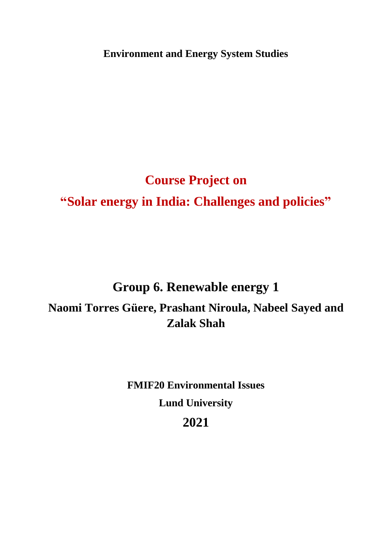**Environment and Energy System Studies**

# **Course Project on "Solar energy in India: Challenges and policies"**

# **Group 6. Renewable energy 1 Naomi Torres Güere, Prashant Niroula, Nabeel Sayed and Zalak Shah**

**FMIF20 Environmental Issues Lund University 2021**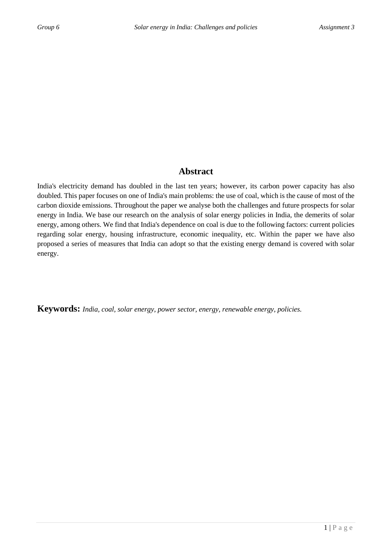## **Abstract**

India's electricity demand has doubled in the last ten years; however, its carbon power capacity has also doubled. This paper focuses on one of India's main problems: the use of coal, which is the cause of most of the carbon dioxide emissions. Throughout the paper we analyse both the challenges and future prospects for solar energy in India. We base our research on the analysis of solar energy policies in India, the demerits of solar energy, among others. We find that India's dependence on coal is due to the following factors: current policies regarding solar energy, housing infrastructure, economic inequality, etc. Within the paper we have also proposed a series of measures that India can adopt so that the existing energy demand is covered with solar energy.

**Keywords:** *India, coal, solar energy, power sector, energy, renewable energy, policies.*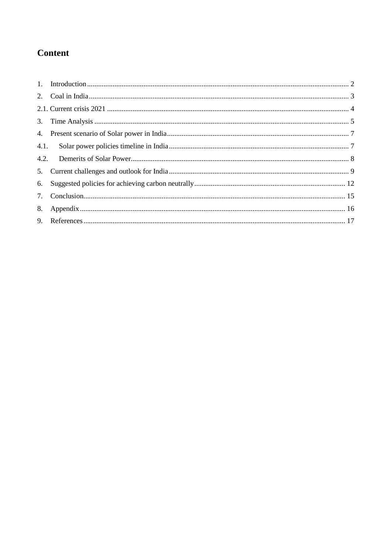## **Content**

| 5. |  |
|----|--|
|    |  |
|    |  |
|    |  |
|    |  |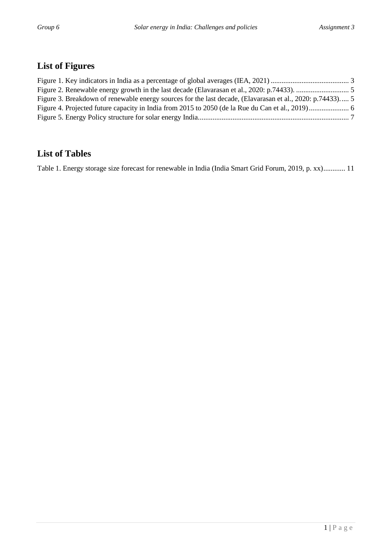## **List of Figures**

| Figure 3. Breakdown of renewable energy sources for the last decade, (Elavarasan et al., 2020: p.74433) 5 |  |
|-----------------------------------------------------------------------------------------------------------|--|
|                                                                                                           |  |
|                                                                                                           |  |

## **List of Tables**

[Table 1. Energy storage size forecast for renewable in India \(India Smart Grid Forum, 2019, p. xx\)............](#page-13-0) 11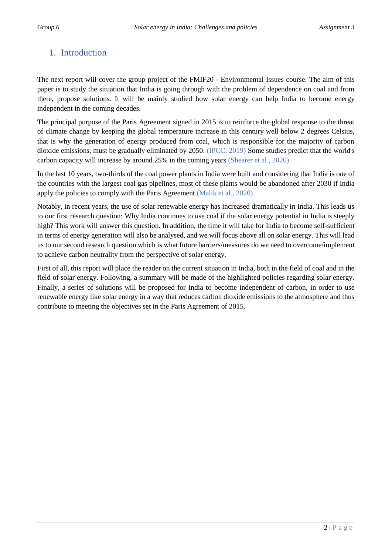## <span id="page-4-0"></span>1. Introduction

The next report will cover the group project of the FMIF20 - Environmental Issues course. The aim of this paper is to study the situation that India is going through with the problem of dependence on coal and from there, propose solutions. It will be mainly studied how solar energy can help India to become energy independent in the coming decades.

The principal purpose of the Paris Agreement signed in 2015 is to reinforce the global response to the threat of climate change by keeping the global temperature increase in this century well below 2 degrees Celsius, that is why the generation of energy produced from coal, which is responsible for the majority of carbon dioxide emissions, must be gradually eliminated by 2050. (IPCC, 2019) Some studies predict that the world's carbon capacity will increase by around 25% in the coming years (Shearer et al., 2020).

In the last 10 years, two-thirds of the coal power plants in India were built and considering that India is one of the countries with the largest coal gas pipelines, most of these plants would be abandoned after 2030 if India apply the policies to comply with the Paris Agreement (Malik et al., 2020).

Notably, in recent years, the use of solar renewable energy has increased dramatically in India. This leads us to our first research question: Why India continues to use coal if the solar energy potential in India is steeply high? This work will answer this question. In addition, the time it will take for India to become self-sufficient in terms of energy generation will also be analysed, and we will focus above all on solar energy. This will lead us to our second research question which is what future barriers/measures do we need to overcome/implement to achieve carbon neutrality from the perspective of solar energy.

First of all, this report will place the reader on the current situation in India, both in the field of coal and in the field of solar energy. Following, a summary will be made of the highlighted policies regarding solar energy. Finally, a series of solutions will be proposed for India to become independent of carbon, in order to use renewable energy like solar energy in a way that reduces carbon dioxide emissions to the atmosphere and thus contribute to meeting the objectives set in the Paris Agreement of 2015.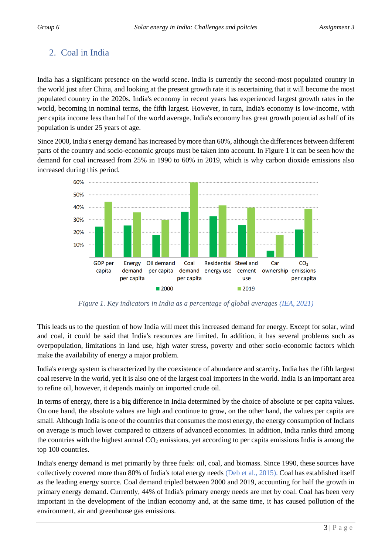## <span id="page-5-0"></span>2. Coal in India

India has a significant presence on the world scene. India is currently the second-most populated country in the world just after China, and looking at the present growth rate it is ascertaining that it will become the most populated country in the 2020s. India's economy in recent years has experienced largest growth rates in the world, becoming in nominal terms, the fifth largest. However, in turn, India's economy is low-income, with per capita income less than half of the world average. India's economy has great growth potential as half of its population is under 25 years of age.

Since 2000, India's energy demand has increased by more than 60%, although the differences between different parts of the country and socio-economic groups must be taken into account. In Figure 1 it can be seen how the demand for coal increased from 25% in 1990 to 60% in 2019, which is why carbon dioxide emissions also increased during this period.



*Figure 1. Key indicators in India as a percentage of global averages (IEA, 2021)*

<span id="page-5-1"></span>This leads us to the question of how India will meet this increased demand for energy. Except for solar, wind and coal, it could be said that India's resources are limited. In addition, it has several problems such as overpopulation, limitations in land use, high water stress, poverty and other socio-economic factors which make the availability of energy a major problem.

India's energy system is characterized by the coexistence of abundance and scarcity. India has the fifth largest coal reserve in the world, yet it is also one of the largest coal importers in the world. India is an important area to refine oil, however, it depends mainly on imported crude oil.

In terms of energy, there is a big difference in India determined by the choice of absolute or per capita values. On one hand, the absolute values are high and continue to grow, on the other hand, the values per capita are small. Although India is one of the countries that consumes the most energy, the energy consumption of Indians on average is much lower compared to citizens of advanced economies. In addition, India ranks third among the countries with the highest annual  $CO<sub>2</sub>$  emissions, yet according to per capita emissions India is among the top 100 countries.

India's energy demand is met primarily by three fuels: oil, coal, and biomass. Since 1990, these sources have collectively covered more than 80% of India's total energy needs (Deb et al., 2015). Coal has established itself as the leading energy source. Coal demand tripled between 2000 and 2019, accounting for half the growth in primary energy demand. Currently, 44% of India's primary energy needs are met by coal. Coal has been very important in the development of the Indian economy and, at the same time, it has caused pollution of the environment, air and greenhouse gas emissions.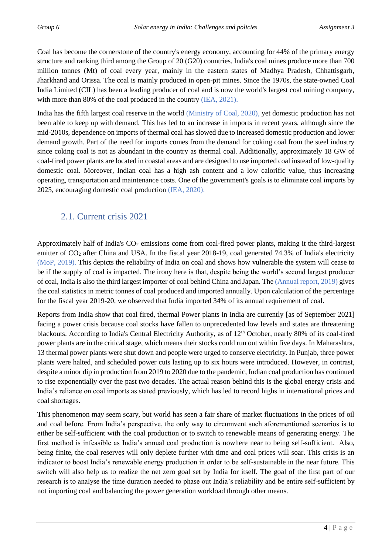Coal has become the cornerstone of the country's energy economy, accounting for 44% of the primary energy structure and ranking third among the Group of 20 (G20) countries. India's coal mines produce more than 700 million tonnes (Mt) of coal every year, mainly in the eastern states of Madhya Pradesh, Chhattisgarh, Jharkhand and Orissa. The coal is mainly produced in open-pit mines. Since the 1970s, the state-owned Coal India Limited (CIL) has been a leading producer of coal and is now the world's largest coal mining company, with more than 80% of the coal produced in the country (IEA, 2021).

India has the fifth largest coal reserve in the world (Ministry of Coal, 2020), yet domestic production has not been able to keep up with demand. This has led to an increase in imports in recent years, although since the mid-2010s, dependence on imports of thermal coal has slowed due to increased domestic production and lower demand growth. Part of the need for imports comes from the demand for coking coal from the steel industry since coking coal is not as abundant in the country as thermal coal. Additionally, approximately 18 GW of coal-fired power plants are located in coastal areas and are designed to use imported coal instead of low-quality domestic coal. Moreover, Indian coal has a high ash content and a low calorific value, thus increasing operating, transportation and maintenance costs. One of the government's goals is to eliminate coal imports by 2025, encouraging domestic coal production (IEA, 2020).

## <span id="page-6-0"></span>2.1. Current crisis 2021

Approximately half of India's  $CO<sub>2</sub>$  emissions come from coal-fired power plants, making it the third-largest emitter of CO<sub>2</sub> after China and USA. In the fiscal year 2018-19, coal generated 74.3% of India's electricity (MoP, 2019). This depicts the reliability of India on coal and shows how vulnerable the system will cease to be if the supply of coal is impacted. The irony here is that, despite being the world's second largest producer of coal, India is also the third largest importer of coal behind China and Japan. The (Annual report, 2019) gives the coal statistics in metric tonnes of coal produced and imported annually. Upon calculation of the percentage for the fiscal year 2019-20, we observed that India imported 34% of its annual requirement of coal.

Reports from India show that coal fired, thermal Power plants in India are currently [as of September 2021] facing a power crisis because coal stocks have fallen to unprecedented low levels and states are threatening blackouts. According to India's Central Electricity Authority, as of 12<sup>th</sup> October, nearly 80% of its coal-fired power plants are in the critical stage, which means their stocks could run out within five days. In Maharashtra, 13 thermal power plants were shut down and people were urged to conserve electricity. In Punjab, three power plants were halted, and scheduled power cuts lasting up to six hours were introduced. However, in contrast, despite a minor dip in production from 2019 to 2020 due to the pandemic, Indian coal production has continued to rise exponentially over the past two decades. The actual reason behind this is the global energy crisis and India's reliance on coal imports as stated previously, which has led to record highs in international prices and coal shortages.

This phenomenon may seem scary, but world has seen a fair share of market fluctuations in the prices of oil and coal before. From India's perspective, the only way to circumvent such aforementioned scenarios is to either be self-sufficient with the coal production or to switch to renewable means of generating energy. The first method is infeasible as India's annual coal production is nowhere near to being self-sufficient. Also, being finite, the coal reserves will only deplete further with time and coal prices will soar. This crisis is an indicator to boost India's renewable energy production in order to be self-sustainable in the near future. This switch will also help us to realize the net zero goal set by India for itself. The goal of the first part of our research is to analyse the time duration needed to phase out India's reliability and be entire self-sufficient by not importing coal and balancing the power generation workload through other means.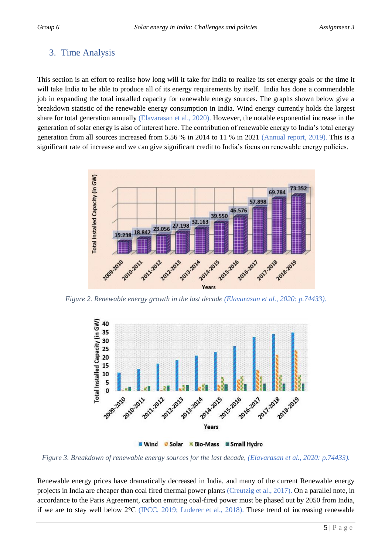## <span id="page-7-0"></span>3. Time Analysis

This section is an effort to realise how long will it take for India to realize its set energy goals or the time it will take India to be able to produce all of its energy requirements by itself. India has done a commendable job in expanding the total installed capacity for renewable energy sources. The graphs shown below give a breakdown statistic of the renewable energy consumption in India. Wind energy currently holds the largest share for total generation annually (Elavarasan et al., 2020). However, the notable exponential increase in the generation of solar energy is also of interest here. The contribution of renewable energy to India's total energy generation from all sources increased from 5.56 % in 2014 to 11 % in 2021 (Annual report, 2019). This is a significant rate of increase and we can give significant credit to India's focus on renewable energy policies.



<span id="page-7-1"></span>*Figure 2. Renewable energy growth in the last decade (Elavarasan et al., 2020: p.74433).*



■ Wind ● Solar ■ Bio-Mass ■ Small Hydro

<span id="page-7-2"></span>*Figure 3. Breakdown of renewable energy sources for the last decade, (Elavarasan et al., 2020: p.74433).*

Renewable energy prices have dramatically decreased in India, and many of the current Renewable energy projects in India are cheaper than coal fired thermal power plants (Creutzig et al., 2017). On a parallel note, in accordance to the Paris Agreement, carbon emitting coal-fired power must be phased out by 2050 from India, if we are to stay well below 2°C (IPCC, 2019; Luderer et al., 2018). These trend of increasing renewable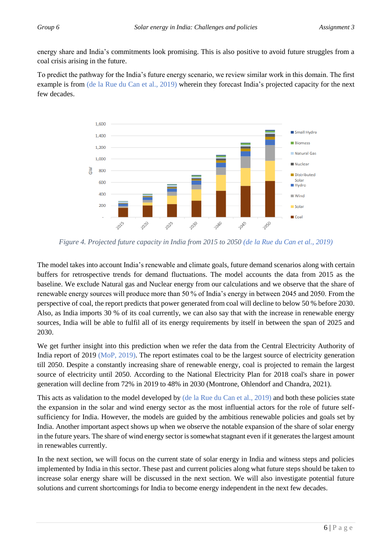energy share and India's commitments look promising. This is also positive to avoid future struggles from a coal crisis arising in the future.

To predict the pathway for the India's future energy scenario, we review similar work in this domain. The first example is from (de la Rue du Can et al., 2019) wherein they forecast India's projected capacity for the next few decades.



<span id="page-8-0"></span>*Figure 4. Projected future capacity in India from 2015 to 2050 (de la Rue du Can et al., 2019)*

The model takes into account India's renewable and climate goals, future demand scenarios along with certain buffers for retrospective trends for demand fluctuations. The model accounts the data from 2015 as the baseline. We exclude Natural gas and Nuclear energy from our calculations and we observe that the share of renewable energy sources will produce more than 50 % of India's energy in between 2045 and 2050. From the perspective of coal, the report predicts that power generated from coal will decline to below 50 % before 2030. Also, as India imports 30 % of its coal currently, we can also say that with the increase in renewable energy sources, India will be able to fulfil all of its energy requirements by itself in between the span of 2025 and 2030.

We get further insight into this prediction when we refer the data from the Central Electricity Authority of India report of 2019 (MoP, 2019). The report estimates coal to be the largest source of electricity generation till 2050. Despite a constantly increasing share of renewable energy, coal is projected to remain the largest source of electricity until 2050. According to the National Electricity Plan for 2018 coal's share in power generation will decline from 72% in 2019 to 48% in 2030 (Montrone, Ohlendorf and Chandra, 2021).

This acts as validation to the model developed by (de la Rue du Can et al., 2019) and both these policies state the expansion in the solar and wind energy sector as the most influential actors for the role of future selfsufficiency for India. However, the models are guided by the ambitious renewable policies and goals set by India. Another important aspect shows up when we observe the notable expansion of the share of solar energy in the future years. The share of wind energy sector is somewhat stagnant even if it generates the largest amount in renewables currently.

In the next section, we will focus on the current state of solar energy in India and witness steps and policies implemented by India in this sector. These past and current policies along what future steps should be taken to increase solar energy share will be discussed in the next section. We will also investigate potential future solutions and current shortcomings for India to become energy independent in the next few decades.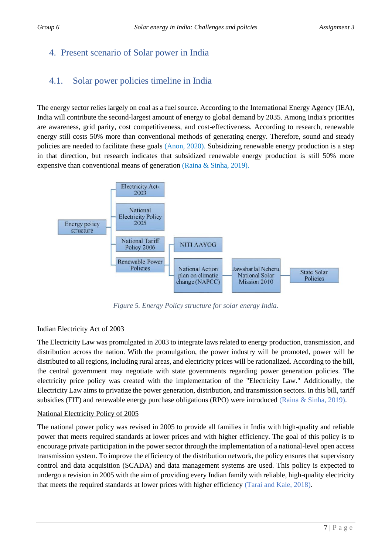## <span id="page-9-0"></span>4. Present scenario of Solar power in India

## <span id="page-9-1"></span>4.1. Solar power policies timeline in India

The energy sector relies largely on coal as a fuel source. According to the International Energy Agency (IEA), India will contribute the second-largest amount of energy to global demand by 2035. Among India's priorities are awareness, grid parity, cost competitiveness, and cost-effectiveness. According to research, renewable energy still costs 50% more than conventional methods of generating energy. Therefore, sound and steady policies are needed to facilitate these goals (Anon, 2020). Subsidizing renewable energy production is a step in that direction, but research indicates that subsidized renewable energy production is still 50% more expensive than conventional means of generation (Raina & Sinha, 2019).



*Figure 5. Energy Policy structure for solar energy India.*

#### <span id="page-9-2"></span>Indian Electricity Act of 2003

The Electricity Law was promulgated in 2003 to integrate laws related to energy production, transmission, and distribution across the nation. With the promulgation, the power industry will be promoted, power will be distributed to all regions, including rural areas, and electricity prices will be rationalized. According to the bill, the central government may negotiate with state governments regarding power generation policies. The electricity price policy was created with the implementation of the "Electricity Law." Additionally, the Electricity Law aims to privatize the power generation, distribution, and transmission sectors. In this bill, tariff subsidies (FIT) and renewable energy purchase obligations (RPO) were introduced (Raina & Sinha, 2019).

#### National Electricity Policy of 2005

The national power policy was revised in 2005 to provide all families in India with high-quality and reliable power that meets required standards at lower prices and with higher efficiency. The goal of this policy is to encourage private participation in the power sector through the implementation of a national-level open access transmission system. To improve the efficiency of the distribution network, the policy ensures that supervisory control and data acquisition (SCADA) and data management systems are used. This policy is expected to undergo a revision in 2005 with the aim of providing every Indian family with reliable, high-quality electricity that meets the required standards at lower prices with higher efficiency (Tarai and Kale, 2018).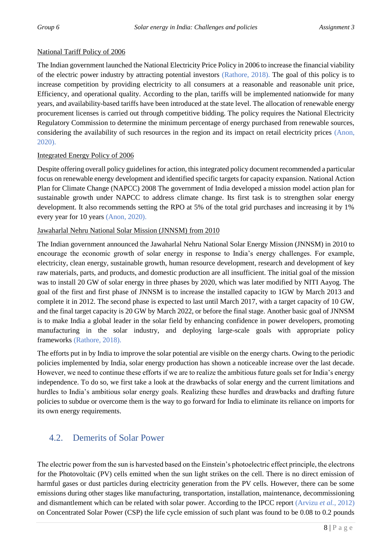#### National Tariff Policy of 2006

The Indian government launched the National Electricity Price Policy in 2006 to increase the financial viability of the electric power industry by attracting potential investors (Rathore, 2018). The goal of this policy is to increase competition by providing electricity to all consumers at a reasonable and reasonable unit price, Efficiency, and operational quality. According to the plan, tariffs will be implemented nationwide for many years, and availability-based tariffs have been introduced at the state level. The allocation of renewable energy procurement licenses is carried out through competitive bidding. The policy requires the National Electricity Regulatory Commission to determine the minimum percentage of energy purchased from renewable sources, considering the availability of such resources in the region and its impact on retail electricity prices (Anon, 2020).

#### Integrated Energy Policy of 2006

Despite offering overall policy guidelines for action, this integrated policy document recommended a particular focus on renewable energy development and identified specific targets for capacity expansion. National Action Plan for Climate Change (NAPCC) 2008 The government of India developed a mission model action plan for sustainable growth under NAPCC to address climate change. Its first task is to strengthen solar energy development. It also recommends setting the RPO at 5% of the total grid purchases and increasing it by 1% every year for 10 years (Anon, 2020).

#### Jawaharlal Nehru National Solar Mission (JNNSM) from 2010

The Indian government announced the Jawaharlal Nehru National Solar Energy Mission (JNNSM) in 2010 to encourage the economic growth of solar energy in response to India's energy challenges. For example, electricity, clean energy, sustainable growth, human resource development, research and development of key raw materials, parts, and products, and domestic production are all insufficient. The initial goal of the mission was to install 20 GW of solar energy in three phases by 2020, which was later modified by NITI Aayog. The goal of the first and first phase of JNNSM is to increase the installed capacity to 1GW by March 2013 and complete it in 2012. The second phase is expected to last until March 2017, with a target capacity of 10 GW, and the final target capacity is 20 GW by March 2022, or before the final stage. Another basic goal of JNNSM is to make India a global leader in the solar field by enhancing confidence in power developers, promoting manufacturing in the solar industry, and deploying large-scale goals with appropriate policy frameworks (Rathore, 2018).

The efforts put in by India to improve the solar potential are visible on the energy charts. Owing to the periodic policies implemented by India, solar energy production has shown a noticeable increase over the last decade. However, we need to continue these efforts if we are to realize the ambitious future goals set for India's energy independence. To do so, we first take a look at the drawbacks of solar energy and the current limitations and hurdles to India's ambitious solar energy goals. Realizing these hurdles and drawbacks and drafting future policies to subdue or overcome them is the way to go forward for India to eliminate its reliance on imports for its own energy requirements.

### <span id="page-10-0"></span>4.2. Demerits of Solar Power

The electric power from the sun is harvested based on the Einstein's photoelectric effect principle, the electrons for the Photovoltaic (PV) cells emitted when the sun light strikes on the cell. There is no direct emission of harmful gases or dust particles during electricity generation from the PV cells. However, there can be some emissions during other stages like manufacturing, transportation, installation, maintenance, decommissioning and dismantlement which can be related with solar power. According to the IPCC report (Arvizu *et al.*, 2012) on Concentrated Solar Power (CSP) the life cycle emission of such plant was found to be 0.08 to 0.2 pounds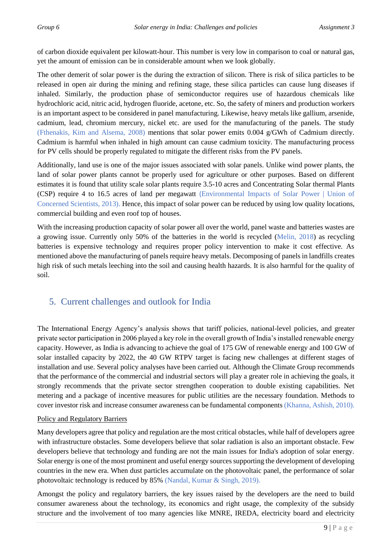of carbon dioxide equivalent per kilowatt-hour. This number is very low in comparison to coal or natural gas, yet the amount of emission can be in considerable amount when we look globally.

The other demerit of solar power is the during the extraction of silicon. There is risk of silica particles to be released in open air during the mining and refining stage, these silica particles can cause lung diseases if inhaled. Similarly, the production phase of semiconductor requires use of hazardous chemicals like hydrochloric acid, nitric acid, hydrogen fluoride, acetone, etc. So, the safety of miners and production workers is an important aspect to be considered in panel manufacturing. Likewise, heavy metals like gallium, arsenide, cadmium, lead, chromium mercury, nickel etc. are used for the manufacturing of the panels. The study (Fthenakis, Kim and Alsema, 2008) mentions that solar power emits 0.004 g/GWh of Cadmium directly. Cadmium is harmful when inhaled in high amount can cause cadmium toxicity. The manufacturing process for PV cells should be properly regulated to mitigate the different risks from the PV panels.

Additionally, land use is one of the major issues associated with solar panels. Unlike wind power plants, the land of solar power plants cannot be properly used for agriculture or other purposes. Based on different estimates it is found that utility scale solar plants require 3.5-10 acres and Concentrating Solar thermal Plants (CSP) require 4 to 16.5 acres of land per megawatt (Environmental Impacts of Solar Power | Union of Concerned Scientists, 2013). Hence, this impact of solar power can be reduced by using low quality locations, commercial building and even roof top of houses.

With the increasing production capacity of solar power all over the world, panel waste and batteries wastes are a growing issue. Currently only 50% of the batteries in the world is recycled (Melin, 2018) as recycling batteries is expensive technology and requires proper policy intervention to make it cost effective. As mentioned above the manufacturing of panels require heavy metals. Decomposing of panels in landfills creates high risk of such metals leeching into the soil and causing health hazards. It is also harmful for the quality of soil.

## <span id="page-11-0"></span>5. Current challenges and outlook for India

The International Energy Agency's analysis shows that tariff policies, national-level policies, and greater private sector participation in 2006 played a key role in the overall growth of India's installed renewable energy capacity. However, as India is advancing to achieve the goal of 175 GW of renewable energy and 100 GW of solar installed capacity by 2022, the 40 GW RTPV target is facing new challenges at different stages of installation and use. Several policy analyses have been carried out. Although the Climate Group recommends that the performance of the commercial and industrial sectors will play a greater role in achieving the goals, it strongly recommends that the private sector strengthen cooperation to double existing capabilities. Net metering and a package of incentive measures for public utilities are the necessary foundation. Methods to cover investor risk and increase consumer awareness can be fundamental components (Khanna, Ashish, 2010).

#### Policy and Regulatory Barriers

Many developers agree that policy and regulation are the most critical obstacles, while half of developers agree with infrastructure obstacles. Some developers believe that solar radiation is also an important obstacle. Few developers believe that technology and funding are not the main issues for India's adoption of solar energy. Solar energy is one of the most prominent and useful energy sources supporting the development of developing countries in the new era. When dust particles accumulate on the photovoltaic panel, the performance of solar photovoltaic technology is reduced by 85% (Nandal, Kumar & Singh, 2019).

Amongst the policy and regulatory barriers, the key issues raised by the developers are the need to build consumer awareness about the technology, its economics and right usage, the complexity of the subsidy structure and the involvement of too many agencies like MNRE, IREDA, electricity board and electricity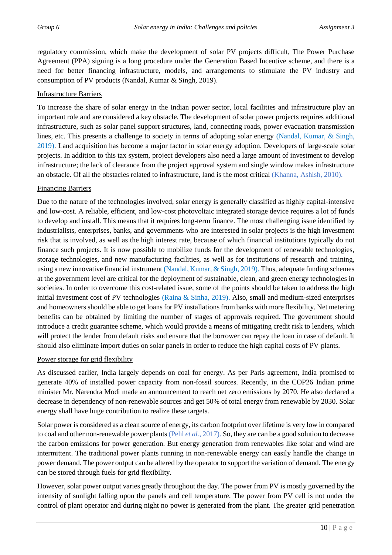regulatory commission, which make the development of solar PV projects difficult, The Power Purchase Agreement (PPA) signing is a long procedure under the Generation Based Incentive scheme, and there is a need for better financing infrastructure, models, and arrangements to stimulate the PV industry and consumption of PV products (Nandal, Kumar & Singh, 2019).

#### Infrastructure Barriers

To increase the share of solar energy in the Indian power sector, local facilities and infrastructure play an important role and are considered a key obstacle. The development of solar power projects requires additional infrastructure, such as solar panel support structures, land, connecting roads, power evacuation transmission lines, etc. This presents a challenge to society in terms of adopting solar energy (Nandal, Kumar, & Singh, 2019). Land acquisition has become a major factor in solar energy adoption. Developers of large-scale solar projects. In addition to this tax system, project developers also need a large amount of investment to develop infrastructure; the lack of clearance from the project approval system and single window makes infrastructure an obstacle. Of all the obstacles related to infrastructure, land is the most critical (Khanna, Ashish, 2010).

#### Financing Barriers

Due to the nature of the technologies involved, solar energy is generally classified as highly capital-intensive and low-cost. A reliable, efficient, and low-cost photovoltaic integrated storage device requires a lot of funds to develop and install. This means that it requires long-term finance. The most challenging issue identified by industrialists, enterprises, banks, and governments who are interested in solar projects is the high investment risk that is involved, as well as the high interest rate, because of which financial institutions typically do not finance such projects. It is now possible to mobilize funds for the development of renewable technologies, storage technologies, and new manufacturing facilities, as well as for institutions of research and training, using a new innovative financial instrument (Nandal, Kumar, & Singh, 2019). Thus, adequate funding schemes at the government level are critical for the deployment of sustainable, clean, and green energy technologies in societies. In order to overcome this cost-related issue, some of the points should be taken to address the high initial investment cost of PV technologies (Raina  $\&$  Sinha, 2019). Also, small and medium-sized enterprises and homeowners should be able to get loans for PV installations from banks with more flexibility. Net metering benefits can be obtained by limiting the number of stages of approvals required. The government should introduce a credit guarantee scheme, which would provide a means of mitigating credit risk to lenders, which will protect the lender from default risks and ensure that the borrower can repay the loan in case of default. It should also eliminate import duties on solar panels in order to reduce the high capital costs of PV plants.

#### Power storage for grid flexibility

As discussed earlier, India largely depends on coal for energy. As per Paris agreement, India promised to generate 40% of installed power capacity from non-fossil sources. Recently, in the COP26 Indian prime minister Mr. Narendra Modi made an announcement to reach net zero emissions by 2070. He also declared a decrease in dependency of non-renewable sources and get 50% of total energy from renewable by 2030. Solar energy shall have huge contribution to realize these targets.

Solar power is considered as a clean source of energy, its carbon footprint over lifetime is very low in compared to coal and other non-renewable power plants (Pehl *et al.*, 2017). So, they are can be a good solution to decrease the carbon emissions for power generation. But energy generation from renewables like solar and wind are intermittent. The traditional power plants running in non-renewable energy can easily handle the change in power demand. The power output can be altered by the operator to support the variation of demand. The energy can be stored through fuels for grid flexibility.

However, solar power output varies greatly throughout the day. The power from PV is mostly governed by the intensity of sunlight falling upon the panels and cell temperature. The power from PV cell is not under the control of plant operator and during night no power is generated from the plant. The greater grid penetration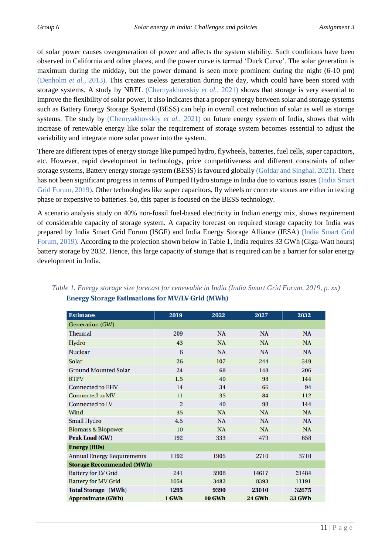of solar power causes overgeneration of power and affects the system stability. Such conditions have been observed in California and other places, and the power curve is termed 'Duck Curve'. The solar generation is maximum during the midday, but the power demand is seen more prominent during the night (6-10 pm) (Denholm *et al.*, 2013). This creates useless generation during the day, which could have been stored with storage systems. A study by NREL (Chernyakhovskiy *et al.*, 2021) shows that storage is very essential to improve the flexibility of solar power, it also indicates that a proper synergy between solar and storage systems such as Battery Energy Storage Systemd (BESS) can help in overall cost reduction of solar as well as storage systems. The study by (Chernyakhovskiy *et al.*, 2021) on future energy system of India, shows that with increase of renewable energy like solar the requirement of storage system becomes essential to adjust the variability and integrate more solar power into the system.

There are different types of energy storage like pumped hydro, flywheels, batteries, fuel cells, super capacitors, etc. However, rapid development in technology, price competitiveness and different constraints of other storage systems, Battery energy storage system (BESS) is favoured globally (Goldar and Singhal, 2021). There has not been significant progress in terms of Pumped Hydro storage in India due to various issues (India Smart Grid Forum, 2019). Other technologies like super capacitors, fly wheels or concrete stones are either in testing phase or expensive to batteries. So, this paper is focused on the BESS technology.

A scenario analysis study on 40% non-fossil fuel-based electricity in Indian energy mix, shows requirement of considerable capacity of storage system. A capacity forecast on required storage capacity for India was prepared by India Smart Grid Forum (ISGF) and India Energy Storage Alliance (IESA) (India Smart Grid Forum, 2019). According to the projection shown below in Table 1, India requires 33 GWh (Giga-Watt hours) battery storage by 2032. Hence, this large capacity of storage that is required can be a barrier for solar energy development in India.

| <b>Estimates</b>                  | 2019           | 2022          | 2027          | 2032          |  |  |
|-----------------------------------|----------------|---------------|---------------|---------------|--|--|
|                                   |                |               |               |               |  |  |
| <b>Generation</b> (GW)            |                |               |               |               |  |  |
| <b>Thermal</b>                    | 209            | NA            | NA            | NA            |  |  |
| Hydro                             | 43             | <b>NA</b>     | NA            | <b>NA</b>     |  |  |
| <b>Nuclear</b>                    | 6              | NA            | NA            | <b>NA</b>     |  |  |
| <b>Solar</b>                      | 26             | 107           | 244           | 349           |  |  |
| <b>Ground Mounted Solar</b>       | 24             | 68            | 148           | 206           |  |  |
| <b>RTPV</b>                       | 1.5            | 40            | 98            | 144           |  |  |
| <b>Connected to EHV</b>           | 14             | 34            | 66            | 94            |  |  |
| <b>Connected to MV</b>            | 11             | 35            | 84            | 112           |  |  |
| <b>Connected to LV</b>            | $\overline{2}$ | 40            | 98            | 144           |  |  |
| Wind                              | 35             | <b>NA</b>     | <b>NA</b>     | NA            |  |  |
| <b>Small Hydro</b>                | 4.5            | NA            | NA            | NA            |  |  |
| <b>Biomass &amp; Biopower</b>     | 10             | NA            | NA            | NA            |  |  |
| Peak Load (GW)                    | 192            | 333           | 479           | 658           |  |  |
| <b>Energy (BUs)</b>               |                |               |               |               |  |  |
| <b>Annual Energy Requirements</b> | 1192           | 1905          | 2710          | 3710          |  |  |
| <b>Storage Recommended (MWh)</b>  |                |               |               |               |  |  |
| <b>Battery for LV Grid</b>        | 241            | 5908          | 14617         | 21484         |  |  |
| <b>Battery for MV Grid</b>        | 1054           | 3482          | 8393          | 11191         |  |  |
| <b>Total Storage (MWh)</b>        | 1295           | 9390          | 23010         | 32675         |  |  |
| <b>Approximate (GWh)</b>          | 1 GWh          | <b>10 GWh</b> | <b>24 GWh</b> | <b>33 GWh</b> |  |  |

#### <span id="page-13-0"></span>*Table 1. Energy storage size forecast for renewable in India (India Smart Grid Forum, 2019, p. xx)***Energy Storage Estimations for MV/LV Grid (MWh)**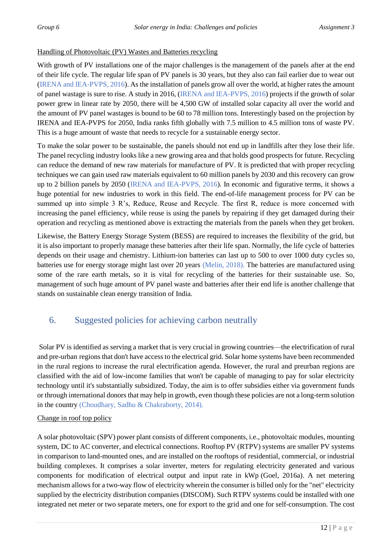#### Handling of Photovoltaic (PV) Wastes and Batteries recycling

With growth of PV installations one of the major challenges is the management of the panels after at the end of their life cycle. The regular life span of PV panels is 30 years, but they also can fail earlier due to wear out (IRENA and IEA-PVPS, 2016). As the installation of panels grow all over the world, at higher rates the amount of panel wastage is sure to rise. A study in 2016, (IRENA and IEA-PVPS, 2016) projects if the growth of solar power grew in linear rate by 2050, there will be 4,500 GW of installed solar capacity all over the world and the amount of PV panel wastages is bound to be 60 to 78 million tons. Interestingly based on the projection by IRENA and IEA-PVPS for 2050, India ranks fifth globally with 7.5 million to 4.5 million tons of waste PV. This is a huge amount of waste that needs to recycle for a sustainable energy sector.

To make the solar power to be sustainable, the panels should not end up in landfills after they lose their life. The panel recycling industry looks like a new growing area and that holds good prospects for future. Recycling can reduce the demand of new raw materials for manufacture of PV. It is predicted that with proper recycling techniques we can gain used raw materials equivalent to 60 million panels by 2030 and this recovery can grow up to 2 billion panels by 2050 (IRENA and IEA-PVPS, 2016). In economic and figurative terms, it shows a huge potential for new industries to work in this field. The end-of-life management process for PV can be summed up into simple 3 R's, Reduce, Reuse and Recycle. The first R, reduce is more concerned with increasing the panel efficiency, while reuse is using the panels by repairing if they get damaged during their operation and recycling as mentioned above is extracting the materials from the panels when they get broken.

Likewise, the Battery Energy Storage System (BESS) are required to increases the flexibility of the grid, but it is also important to properly manage these batteries after their life span. Normally, the life cycle of batteries depends on their usage and chemistry. Lithium-ion batteries can last up to 500 to over 1000 duty cycles so, batteries use for energy storage might last over 20 years (Melin, 2018). The batteries are manufactured using some of the rare earth metals, so it is vital for recycling of the batteries for their sustainable use. So, management of such huge amount of PV panel waste and batteries after their end life is another challenge that stands on sustainable clean energy transition of India.

### <span id="page-14-0"></span>6. Suggested policies for achieving carbon neutrally

Solar PV is identified as serving a market that is very crucial in growing countries—the electrification of rural and pre-urban regions that don't have access to the electrical grid. Solar home systems have been recommended in the rural regions to increase the rural electrification agenda. However, the rural and preurban regions are classified with the aid of low-income families that won't be capable of managing to pay for solar electricity technology until it's substantially subsidized. Today, the aim is to offer subsidies either via government funds or through international donors that may help in growth, even though these policies are not a long-term solution in the country (Choudhary, Sadhu & Chakraborty, 2014).

#### Change in roof top policy

A solar photovoltaic (SPV) power plant consists of different components, i.e., photovoltaic modules, mounting system, DC to AC converter, and electrical connections. Rooftop PV (RTPV) systems are smaller PV systems in comparison to land-mounted ones, and are installed on the rooftops of residential, commercial, or industrial building complexes. It comprises a solar inverter, meters for regulating electricity generated and various components for modification of electrical output and input rate in kWp (Goel, 2016a). A net metering mechanism allows for a two-way flow of electricity wherein the consumer is billed only for the "net" electricity supplied by the electricity distribution companies (DISCOM). Such RTPV systems could be installed with one integrated net meter or two separate meters, one for export to the grid and one for self-consumption. The cost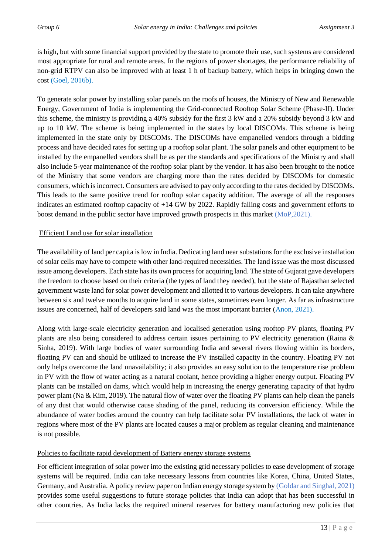is high, but with some financial support provided by the state to promote their use, such systems are considered most appropriate for rural and remote areas. In the regions of power shortages, the performance reliability of non-grid RTPV can also be improved with at least 1 h of backup battery, which helps in bringing down the cost (Goel, 2016b).

To generate solar power by installing solar panels on the roofs of houses, the Ministry of New and Renewable Energy, Government of India is implementing the Grid-connected Rooftop Solar Scheme (Phase-II). Under this scheme, the ministry is providing a 40% subsidy for the first 3 kW and a 20% subsidy beyond 3 kW and up to 10 kW. The scheme is being implemented in the states by local DISCOMs. This scheme is being implemented in the state only by DISCOMs. The DISCOMs have empanelled vendors through a bidding process and have decided rates for setting up a rooftop solar plant. The solar panels and other equipment to be installed by the empanelled vendors shall be as per the standards and specifications of the Ministry and shall also include 5-year maintenance of the rooftop solar plant by the vendor. It has also been brought to the notice of the Ministry that some vendors are charging more than the rates decided by DISCOMs for domestic consumers, which is incorrect. Consumers are advised to pay only according to the rates decided by DISCOMs. This leads to the same positive trend for rooftop solar capacity addition. The average of all the responses indicates an estimated rooftop capacity of +14 GW by 2022. Rapidly falling costs and government efforts to boost demand in the public sector have improved growth prospects in this market (MoP,2021).

#### Efficient Land use for solar installation

The availability of land per capita is low in India. Dedicating land near substations for the exclusive installation of solar cells may have to compete with other land-required necessities. The land issue was the most discussed issue among developers. Each state has its own process for acquiring land. The state of Gujarat gave developers the freedom to choose based on their criteria (the types of land they needed), but the state of Rajasthan selected government waste land for solar power development and allotted it to various developers. It can take anywhere between six and twelve months to acquire land in some states, sometimes even longer. As far as infrastructure issues are concerned, half of developers said land was the most important barrier (Anon, 2021).

Along with large-scale electricity generation and localised generation using rooftop PV plants, floating PV plants are also being considered to address certain issues pertaining to PV electricity generation (Raina & Sinha, 2019). With large bodies of water surrounding India and several rivers flowing within its borders, floating PV can and should be utilized to increase the PV installed capacity in the country. Floating PV not only helps overcome the land unavailability; it also provides an easy solution to the temperature rise problem in PV with the flow of water acting as a natural coolant, hence providing a higher energy output. Floating PV plants can be installed on dams, which would help in increasing the energy generating capacity of that hydro power plant (Na & Kim, 2019). The natural flow of water over the floating PV plants can help clean the panels of any dust that would otherwise cause shading of the panel, reducing its conversion efficiency. While the abundance of water bodies around the country can help facilitate solar PV installations, the lack of water in regions where most of the PV plants are located causes a major problem as regular cleaning and maintenance is not possible.

#### Policies to facilitate rapid development of Battery energy storage systems

For efficient integration of solar power into the existing grid necessary policies to ease development of storage systems will be required. India can take necessary lessons from countries like Korea, China, United States, Germany, and Australia. A policy review paper on Indian energy storage system by (Goldar and Singhal, 2021) provides some useful suggestions to future storage policies that India can adopt that has been successful in other countries. As India lacks the required mineral reserves for battery manufacturing new policies that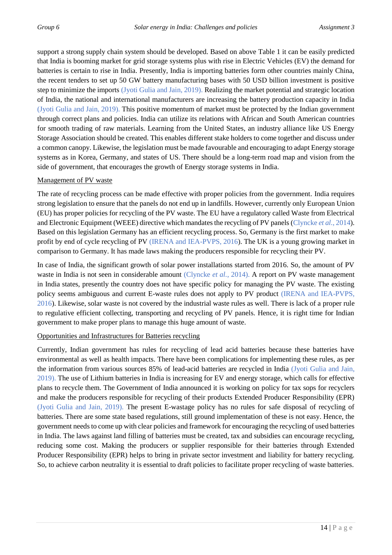support a strong supply chain system should be developed. Based on above Table 1 it can be easily predicted that India is booming market for grid storage systems plus with rise in Electric Vehicles (EV) the demand for batteries is certain to rise in India. Presently, India is importing batteries form other countries mainly China, the recent tenders to set up 50 GW battery manufacturing bases with 50 USD billion investment is positive step to minimize the imports (Jyoti Gulia and Jain, 2019). Realizing the market potential and strategic location of India, the national and international manufacturers are increasing the battery production capacity in India (Jyoti Gulia and Jain, 2019). This positive momentum of market must be protected by the Indian government through correct plans and policies. India can utilize its relations with African and South American countries for smooth trading of raw materials. Learning from the United States, an industry alliance like US Energy Storage Association should be created. This enables different stake holders to come together and discuss under a common canopy. Likewise, the legislation must be made favourable and encouraging to adapt Energy storage systems as in Korea, Germany, and states of US. There should be a long-term road map and vision from the side of government, that encourages the growth of Energy storage systems in India.

#### Management of PV waste

The rate of recycling process can be made effective with proper policies from the government. India requires strong legislation to ensure that the panels do not end up in landfills. However, currently only European Union (EU) has proper policies for recycling of the PV waste. The EU have a regulatory called Waste from Electrical and Electronic Equipment (WEEE) directive which mandates the recycling of PV panels (Clyncke *et al.*, 2014). Based on this legislation Germany has an efficient recycling process. So, Germany is the first market to make profit by end of cycle recycling of PV (IRENA and IEA-PVPS, 2016). The UK is a young growing market in comparison to Germany. It has made laws making the producers responsible for recycling their PV.

In case of India, the significant growth of solar power installations started from 2016. So, the amount of PV waste in India is not seen in considerable amount (Clyncke *et al.*, 2014). A report on PV waste management in India states, presently the country does not have specific policy for managing the PV waste. The existing policy seems ambiguous and current E-waste rules does not apply to PV product (IRENA and IEA-PVPS, 2016). Likewise, solar waste is not covered by the industrial waste rules as well. There is lack of a proper rule to regulative efficient collecting, transporting and recycling of PV panels. Hence, it is right time for Indian government to make proper plans to manage this huge amount of waste.

#### Opportunities and Infrastructures for Batteries recycling

Currently, Indian government has rules for recycling of lead acid batteries because these batteries have environmental as well as health impacts. There have been complications for implementing these rules, as per the information from various sources 85% of lead-acid batteries are recycled in India (Jyoti Gulia and Jain, 2019). The use of Lithium batteries in India is increasing for EV and energy storage, which calls for effective plans to recycle them. The Government of India announced it is working on policy for tax sops for recyclers and make the producers responsible for recycling of their products Extended Producer Responsibility (EPR) (Jyoti Gulia and Jain, 2019). The present E-wastage policy has no rules for safe disposal of recycling of batteries. There are some state based regulations, still ground implementation of these is not easy. Hence, the government needs to come up with clear policies and framework for encouraging the recycling of used batteries in India. The laws against land filling of batteries must be created, tax and subsidies can encourage recycling, reducing some cost. Making the producers or supplier responsible for their batteries through Extended Producer Responsibility (EPR) helps to bring in private sector investment and liability for battery recycling. So, to achieve carbon neutrality it is essential to draft policies to facilitate proper recycling of waste batteries.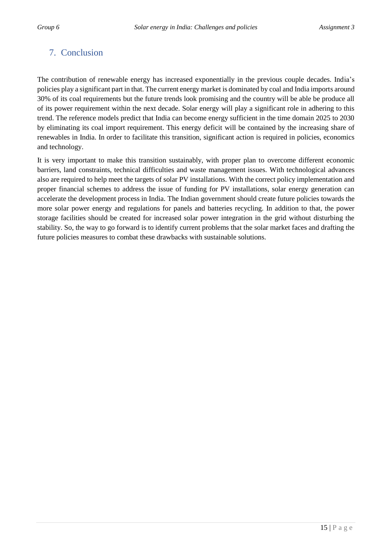## <span id="page-17-0"></span>7. Conclusion

The contribution of renewable energy has increased exponentially in the previous couple decades. India's policies play a significant part in that. The current energy market is dominated by coal and India imports around 30% of its coal requirements but the future trends look promising and the country will be able be produce all of its power requirement within the next decade. Solar energy will play a significant role in adhering to this trend. The reference models predict that India can become energy sufficient in the time domain 2025 to 2030 by eliminating its coal import requirement. This energy deficit will be contained by the increasing share of renewables in India. In order to facilitate this transition, significant action is required in policies, economics and technology.

It is very important to make this transition sustainably, with proper plan to overcome different economic barriers, land constraints, technical difficulties and waste management issues. With technological advances also are required to help meet the targets of solar PV installations. With the correct policy implementation and proper financial schemes to address the issue of funding for PV installations, solar energy generation can accelerate the development process in India. The Indian government should create future policies towards the more solar power energy and regulations for panels and batteries recycling. In addition to that, the power storage facilities should be created for increased solar power integration in the grid without disturbing the stability. So, the way to go forward is to identify current problems that the solar market faces and drafting the future policies measures to combat these drawbacks with sustainable solutions.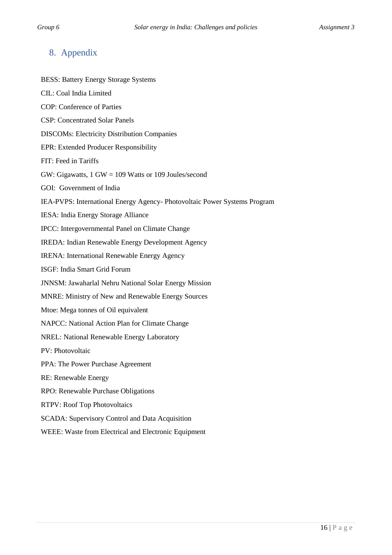## <span id="page-18-0"></span>8. Appendix

BESS: Battery Energy Storage Systems CIL: Coal India Limited COP: Conference of Parties CSP: Concentrated Solar Panels DISCOMs: Electricity Distribution Companies EPR: Extended Producer Responsibility FIT: Feed in Tariffs GW: Gigawatts, 1 GW = 109 Watts or 109 Joules/second GOI: Government of India IEA-PVPS: International Energy Agency- Photovoltaic Power Systems Program IESA: India Energy Storage Alliance IPCC: Intergovernmental Panel on Climate Change IREDA: Indian Renewable Energy Development Agency IRENA: International Renewable Energy Agency ISGF: India Smart Grid Forum JNNSM: Jawaharlal Nehru National Solar Energy Mission MNRE: Ministry of New and Renewable Energy Sources Mtoe: Mega tonnes of Oil equivalent NAPCC: National Action Plan for Climate Change NREL: National Renewable Energy Laboratory PV: Photovoltaic PPA: The Power Purchase Agreement RE: Renewable Energy RPO: Renewable Purchase Obligations RTPV: Roof Top Photovoltaics SCADA: Supervisory Control and Data Acquisition WEEE: Waste from Electrical and Electronic Equipment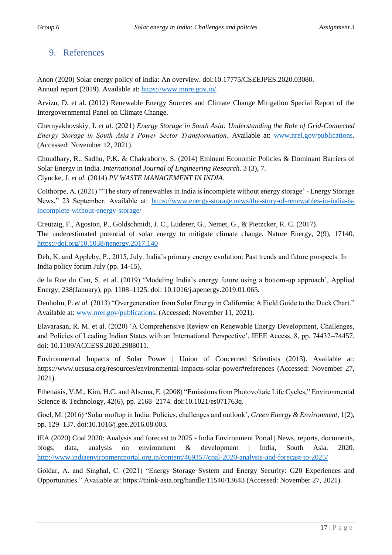## <span id="page-19-0"></span>9. References

Anon (2020) Solar energy policy of India: An overview. doi:10.17775/CSEEJPES.2020.03080. Annual report (2019). Available at: [https://www.mnre.gov.in/.](https://www.mnre.gov.in/)

Arvizu, D. et al. (2012) Renewable Energy Sources and Climate Change Mitigation Special Report of the Intergovernmental Panel on Climate Change.

Chernyakhovskiy, I. *et al.* (2021) *Energy Storage in South Asia: Understanding the Role of Grid-Connected Energy Storage in South Asia's Power Sector Transformation*. Available at: [www.nrel.gov/publications.](http://www.nrel.gov/publications) (Accessed: November 12, 2021).

Choudhary, R., Sadhu, P.K. & Chakraborty, S. (2014) Eminent Economic Policies & Dominant Barriers of Solar Energy in India. *International Journal of Engineering Research*. 3 (3), 7. Clyncke, J. *et al.* (2014) *PV WASTE MANAGEMENT IN INDIA*.

Colthorpe, A. (2021) "'The story of renewables in India is incomplete without energy storage' - Energy Storage News," 23 September. Available at: [https://www.energy-storage.news/the-story-of-renewables-in-india-is](https://www.energy-storage.news/the-story-of-renewables-in-india-is-incomplete-without-energy-storage/)[incomplete-without-energy-storage/](https://www.energy-storage.news/the-story-of-renewables-in-india-is-incomplete-without-energy-storage/)

Creutzig, F., Agoston, P., Goldschmidt, J. C., Luderer, G., Nemet, G., & Pietzcker, R. C. (2017). The underestimated potential of solar energy to mitigate climate change. Nature Energy, 2(9), 17140. <https://doi.org/10.1038/nenergy.2017.140>

Deb, K. and Appleby, P., 2015, July. India's primary energy evolution: Past trends and future prospects. In India policy forum July (pp. 14-15).

de la Rue du Can, S. et al. (2019) 'Modeling India's energy future using a bottom-up approach', Applied Energy, 238(January), pp. 1108–1125. doi: 10.1016/j.apenergy.2019.01.065.

Denholm, P. *et al.* (2013) "Overgeneration from Solar Energy in California: A Field Guide to the Duck Chart." Available at: [www.nrel.gov/publications.](http://www.nrel.gov/publications) (Accessed: November 11, 2021).

Elavarasan, R. M. et al. (2020) 'A Comprehensive Review on Renewable Energy Development, Challenges, and Policies of Leading Indian States with an International Perspective', IEEE Access, 8, pp. 74432–74457. doi: 10.1109/ACCESS.2020.2988011.

Environmental Impacts of Solar Power | Union of Concerned Scientists (2013). Available at: https://www.ucsusa.org/resources/environmental-impacts-solar-power#references (Accessed: November 27, 2021).

Fthenakis, V.M., Kim, H.C. and Alsema, E. (2008) "Emissions from Photovoltaic Life Cycles," Environmental Science & Technology, 42(6), pp. 2168–2174. doi:10.1021/es071763q.

Goel, M. (2016) 'Solar rooftop in India: Policies, challenges and outlook', *Green Energy & Environment*, 1(2), pp. 129–137. doi:10.1016/j.gee.2016.08.003.

IEA (2020) Coal 2020: Analysis and forecast to 2025 - India Environment Portal | News, reports, documents, blogs, data, analysis on environment & development | India, South Asia. 2020. <http://www.indiaenvironmentportal.org.in/content/469357/coal-2020-analysis-and-forecast-to-2025/>

Goldar, A. and Singhal, C. (2021) "Energy Storage System and Energy Security: G20 Experiences and Opportunities." Available at: https://think-asia.org/handle/11540/13643 (Accessed: November 27, 2021).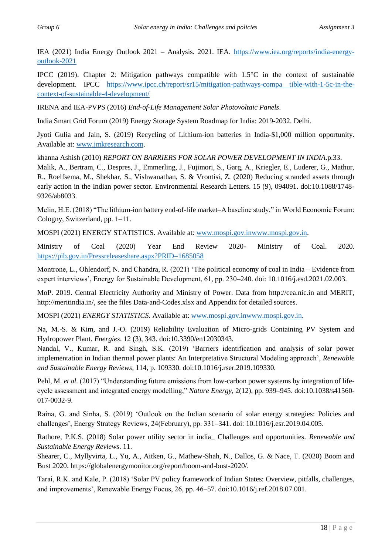IEA (2021) India Energy Outlook 2021 – Analysis. 2021. IEA. [https://www.iea.org/reports/india-energy](https://www.iea.org/reports/india-energy-outlook-2021)[outlook-2021](https://www.iea.org/reports/india-energy-outlook-2021)

IPCC (2019). Chapter 2: Mitigation pathways compatible with 1.5°C in the context of sustainable development. IPCC [https://www.ipcc.ch/report/sr15/mitigation-pathways-compa tible-with-1-5c-in-the](https://www.ipcc.ch/report/sr15/mitigation-pathways-compa%20tible-with-1-5c-in-the-context-of-sustainable-4-development/)[context-of-sustainable-4-development/](https://www.ipcc.ch/report/sr15/mitigation-pathways-compa%20tible-with-1-5c-in-the-context-of-sustainable-4-development/)

IRENA and IEA-PVPS (2016) *End-of-Life Management Solar Photovoltaic Panels*.

India Smart Grid Forum (2019) Energy Storage System Roadmap for India: 2019-2032. Delhi.

Jyoti Gulia and Jain, S. (2019) Recycling of Lithium-ion batteries in India-\$1,000 million opportunity. Available at: [www.jmkresearch.com.](http://www.jmkresearch.com/)

khanna Ashish (2010) *REPORT ON BARRIERS FOR SOLAR POWER DEVELOPMENT IN INDIA*.p.33.

Malik, A., Bertram, C., Despres, J., Emmerling, J., Fujimori, S., Garg, A., Kriegler, E., Luderer, G., Mathur, R., Roelfsema, M., Shekhar, S., Vishwanathan, S. & Vrontisi, Z. (2020) Reducing stranded assets through early action in the Indian power sector. Environmental Research Letters. 15 (9), 094091. doi:10.1088/1748- 9326/ab8033.

Melin, H.E. (2018) "The lithium-ion battery end-of-life market–A baseline study," in World Economic Forum: Cologny, Switzerland, pp. 1–11.

MOSPI (2021) ENERGY STATISTICS. Available at: [www.mospi.gov.inwww.mospi.gov.in.](http://www.mospi.gov.inwww.mospi.gov.in/)

Ministry of Coal (2020) Year End Review 2020- Ministry of Coal. 2020. <https://pib.gov.in/Pressreleaseshare.aspx?PRID=1685058>

Montrone, L., Ohlendorf, N. and Chandra, R. (2021) 'The political economy of coal in India – Evidence from expert interviews', Energy for Sustainable Development, 61, pp. 230–240. doi: 10.1016/j.esd.2021.02.003.

MoP. 2019. Central Electricity Authority and Ministry of Power. Data from http://cea.nic.in and MERIT, http://meritindia.in/, see the files Data-and-Codes.xlsx and Appendix for detailed sources.

MOSPI (2021) *ENERGY STATISTICS*. Available at: www.mospi.gov.inwww.mospi.gov.in.

Na, M.-S. & Kim, and J.-O. (2019) Reliability Evaluation of Micro-grids Containing PV System and Hydropower Plant. *Energies*. 12 (3), 343. doi:10.3390/en12030343.

Nandal, V., Kumar, R. and Singh, S.K. (2019) 'Barriers identification and analysis of solar power implementation in Indian thermal power plants: An Interpretative Structural Modeling approach', *Renewable and Sustainable Energy Reviews*, 114, p. 109330. doi:10.1016/j.rser.2019.109330.

Pehl, M. *et al.* (2017) "Understanding future emissions from low-carbon power systems by integration of lifecycle assessment and integrated energy modelling," *Nature Energy*, 2(12), pp. 939–945. doi:10.1038/s41560- 017-0032-9.

Raina, G. and Sinha, S. (2019) 'Outlook on the Indian scenario of solar energy strategies: Policies and challenges', Energy Strategy Reviews, 24(February), pp. 331–341. doi: 10.1016/j.esr.2019.04.005.

Rathore, P.K.S. (2018) Solar power utility sector in india\_ Challenges and opportunities. *Renewable and Sustainable Energy Reviews*. 11.

Shearer, C., Myllyvirta, L., Yu, A., Aitken, G., Mathew-Shah, N., Dallos, G. & Nace, T. (2020) Boom and Bust 2020. https://globalenergymonitor.org/report/boom-and-bust-2020/.

Tarai, R.K. and Kale, P. (2018) 'Solar PV policy framework of Indian States: Overview, pitfalls, challenges, and improvements', Renewable Energy Focus, 26, pp. 46–57. doi:10.1016/j.ref.2018.07.001.